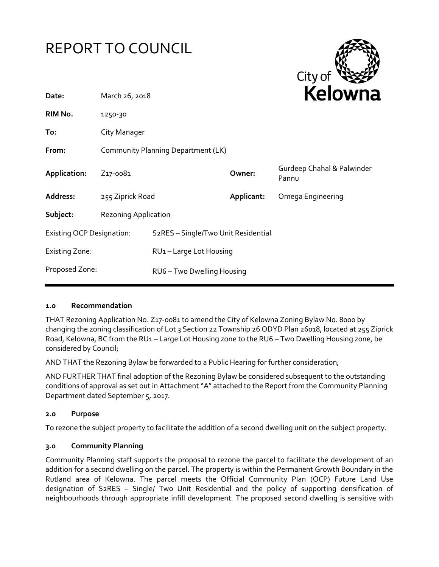



| Date:                            | March 26, 2018                     |                                                  | REIUWIId   |                                     |
|----------------------------------|------------------------------------|--------------------------------------------------|------------|-------------------------------------|
| RIM No.                          | 1250-30                            |                                                  |            |                                     |
| To:                              | City Manager                       |                                                  |            |                                     |
| From:                            | Community Planning Department (LK) |                                                  |            |                                     |
| Application:                     | Z <sub>17</sub> -008 <sub>1</sub>  |                                                  | Owner:     | Gurdeep Chahal & Palwinder<br>Pannu |
| Address:                         | 255 Ziprick Road                   |                                                  | Applicant: | Omega Engineering                   |
| Subject:                         | <b>Rezoning Application</b>        |                                                  |            |                                     |
| <b>Existing OCP Designation:</b> |                                    | S <sub>2</sub> RES - Single/Two Unit Residential |            |                                     |
| <b>Existing Zone:</b>            |                                    | RU1-Large Lot Housing                            |            |                                     |
| Proposed Zone:                   |                                    | RU6 - Two Dwelling Housing                       |            |                                     |
|                                  |                                    |                                                  |            |                                     |

#### **1.0 Recommendation**

THAT Rezoning Application No. Z17-0081 to amend the City of Kelowna Zoning Bylaw No. 8000 by changing the zoning classification of Lot 3 Section 22 Township 26 ODYD Plan 26018, located at 255 Ziprick Road, Kelowna, BC from the RU1 – Large Lot Housing zone to the RU6 – Two Dwelling Housing zone, be considered by Council;

AND THAT the Rezoning Bylaw be forwarded to a Public Hearing for further consideration;

AND FURTHER THAT final adoption of the Rezoning Bylaw be considered subsequent to the outstanding conditions of approval as set out in Attachment "A" attached to the Report from the Community Planning Department dated September 5, 2017.

#### **2.0 Purpose**

To rezone the subject property to facilitate the addition of a second dwelling unit on the subject property.

#### **3.0 Community Planning**

Community Planning staff supports the proposal to rezone the parcel to facilitate the development of an addition for a second dwelling on the parcel. The property is within the Permanent Growth Boundary in the Rutland area of Kelowna. The parcel meets the Official Community Plan (OCP) Future Land Use designation of S2RES – Single/ Two Unit Residential and the policy of supporting densification of neighbourhoods through appropriate infill development. The proposed second dwelling is sensitive with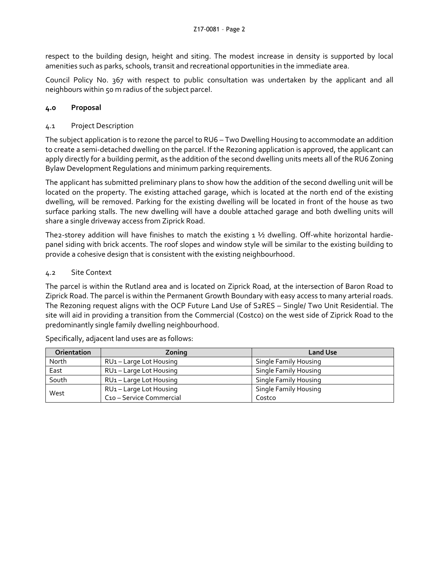respect to the building design, height and siting. The modest increase in density is supported by local amenities such as parks, schools, transit and recreational opportunities in the immediate area.

Council Policy No. 367 with respect to public consultation was undertaken by the applicant and all neighbours within 50 m radius of the subject parcel.

# **4.0 Proposal**

## 4.1 Project Description

The subject application is to rezone the parcel to RU6 – Two Dwelling Housing to accommodate an addition to create a semi-detached dwelling on the parcel. If the Rezoning application is approved, the applicant can apply directly for a building permit, as the addition of the second dwelling units meets all of the RU6 Zoning Bylaw Development Regulations and minimum parking requirements.

The applicant has submitted preliminary plans to show how the addition of the second dwelling unit will be located on the property. The existing attached garage, which is located at the north end of the existing dwelling, will be removed. Parking for the existing dwelling will be located in front of the house as two surface parking stalls. The new dwelling will have a double attached garage and both dwelling units will share a single driveway access from Ziprick Road.

The2-storey addition will have finishes to match the existing  $1\frac{1}{2}$  dwelling. Off-white horizontal hardiepanel siding with brick accents. The roof slopes and window style will be similar to the existing building to provide a cohesive design that is consistent with the existing neighbourhood.

### 4.2 Site Context

The parcel is within the Rutland area and is located on Ziprick Road, at the intersection of Baron Road to Ziprick Road. The parcel is within the Permanent Growth Boundary with easy access to many arterial roads. The Rezoning request aligns with the OCP Future Land Use of S2RES – Single/ Two Unit Residential. The site will aid in providing a transition from the Commercial (Costco) on the west side of Ziprick Road to the predominantly single family dwelling neighbourhood.

| <b>Orientation</b> | Zoning                   | <b>Land Use</b>              |
|--------------------|--------------------------|------------------------------|
| North              | RU1-Large Lot Housing    | <b>Single Family Housing</b> |
| East               | RU1-Large Lot Housing    | <b>Single Family Housing</b> |
| South              | RU1-Large Lot Housing    | <b>Single Family Housing</b> |
| West               | RU1-Large Lot Housing    | <b>Single Family Housing</b> |
|                    | C10 - Service Commercial | Costco                       |

Specifically, adjacent land uses are as follows: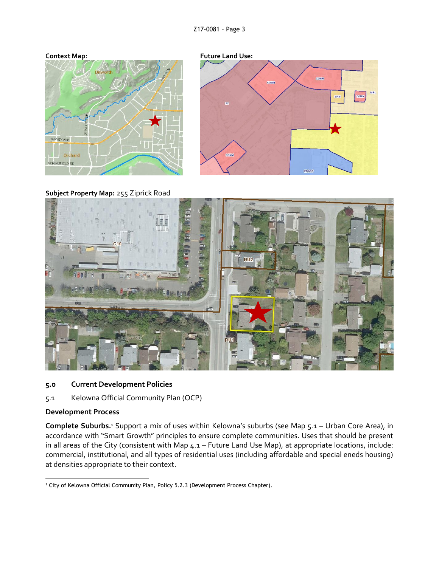



**Subject Property Map:** 255 Ziprick Road



### **5.0 Current Development Policies**

## 5.1 Kelowna Official Community Plan (OCP)

#### **Development Process**

**Complete Suburbs.**<sup>1</sup> Support a mix of uses within Kelowna's suburbs (see Map 5.1 – Urban Core Area), in accordance with "Smart Growth" principles to ensure complete communities. Uses that should be present in all areas of the City (consistent with Map 4.1 – Future Land Use Map), at appropriate locations, include: commercial, institutional, and all types of residential uses (including affordable and special eneds housing) at densities appropriate to their context.

<sup>1</sup> <sup>1</sup> City of Kelowna Official Community Plan, Policy 5.2.3 (Development Process Chapter).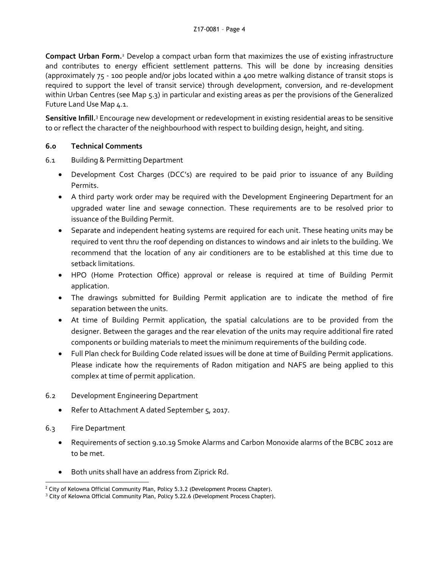**Compact Urban Form.**<sup>2</sup> Develop a compact urban form that maximizes the use of existing infrastructure and contributes to energy efficient settlement patterns. This will be done by increasing densities (approximately 75 - 100 people and/or jobs located within a 400 metre walking distance of transit stops is required to support the level of transit service) through development, conversion, and re-development within Urban Centres (see Map 5.3) in particular and existing areas as per the provisions of the Generalized Future Land Use Map 4.1.

**Sensitive Infill.**<sup>3</sup> Encourage new development or redevelopment in existing residential areas to be sensitive to or reflect the character of the neighbourhood with respect to building design, height, and siting.

# **6.0 Technical Comments**

- 6.1 Building & Permitting Department
	- Development Cost Charges (DCC's) are required to be paid prior to issuance of any Building Permits.
	- A third party work order may be required with the Development Engineering Department for an upgraded water line and sewage connection. These requirements are to be resolved prior to issuance of the Building Permit.
	- Separate and independent heating systems are required for each unit. These heating units may be required to vent thru the roof depending on distances to windows and air inlets to the building. We recommend that the location of any air conditioners are to be established at this time due to setback limitations.
	- HPO (Home Protection Office) approval or release is required at time of Building Permit application.
	- The drawings submitted for Building Permit application are to indicate the method of fire separation between the units.
	- At time of Building Permit application, the spatial calculations are to be provided from the designer. Between the garages and the rear elevation of the units may require additional fire rated components or building materials to meet the minimum requirements of the building code.
	- Full Plan check for Building Code related issues will be done at time of Building Permit applications. Please indicate how the requirements of Radon mitigation and NAFS are being applied to this complex at time of permit application.
- 6.2 Development Engineering Department
	- Refer to Attachment A dated September 5, 2017.
- 6.3 Fire Department
	- Requirements of section 9.10.19 Smoke Alarms and Carbon Monoxide alarms of the BCBC 2012 are to be met.
	- Both units shall have an address from Ziprick Rd.

<sup>1</sup> <sup>2</sup> City of Kelowna Official Community Plan, Policy 5.3.2 (Development Process Chapter).

 $3$  City of Kelowna Official Community Plan, Policy 5.22.6 (Development Process Chapter).